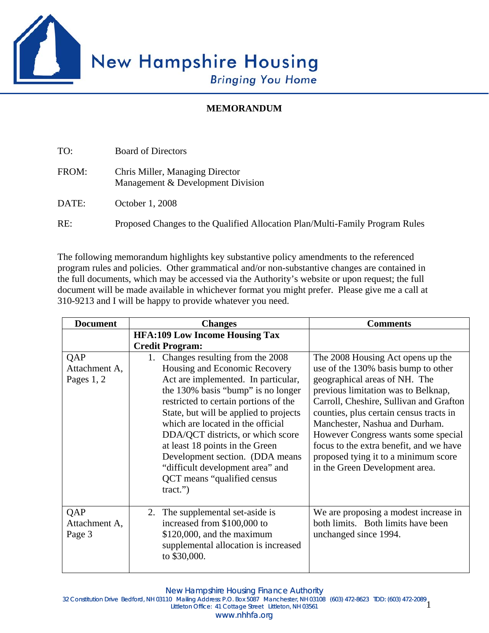

## **MEMORANDUM**

| TO:   | <b>Board of Directors</b>                                                    |
|-------|------------------------------------------------------------------------------|
| FROM: | Chris Miller, Managing Director<br>Management & Development Division         |
| DATE: | October 1, 2008                                                              |
| RE:   | Proposed Changes to the Qualified Allocation Plan/Multi-Family Program Rules |

The following memorandum highlights key substantive policy amendments to the referenced program rules and policies. Other grammatical and/or non-substantive changes are contained in the full documents, which may be accessed via the Authority's website or upon request; the full document will be made available in whichever format you might prefer. Please give me a call at 310-9213 and I will be happy to provide whatever you need.

| <b>Document</b>                      | <b>Changes</b>                                                                                                                                                                                                                                                                                                                                                                                                                                                                | <b>Comments</b>                                                                                                                                                                                                                                                                                                                                                                                                                      |
|--------------------------------------|-------------------------------------------------------------------------------------------------------------------------------------------------------------------------------------------------------------------------------------------------------------------------------------------------------------------------------------------------------------------------------------------------------------------------------------------------------------------------------|--------------------------------------------------------------------------------------------------------------------------------------------------------------------------------------------------------------------------------------------------------------------------------------------------------------------------------------------------------------------------------------------------------------------------------------|
|                                      | <b>HFA:109 Low Income Housing Tax</b>                                                                                                                                                                                                                                                                                                                                                                                                                                         |                                                                                                                                                                                                                                                                                                                                                                                                                                      |
|                                      | <b>Credit Program:</b>                                                                                                                                                                                                                                                                                                                                                                                                                                                        |                                                                                                                                                                                                                                                                                                                                                                                                                                      |
| QAP<br>Attachment A,<br>Pages $1, 2$ | Changes resulting from the 2008<br>1.<br>Housing and Economic Recovery<br>Act are implemented. In particular,<br>the 130% basis "bump" is no longer<br>restricted to certain portions of the<br>State, but will be applied to projects<br>which are located in the official<br>DDA/QCT districts, or which score<br>at least 18 points in the Green<br>Development section. (DDA means<br>"difficult development area" and<br>QCT means "qualified census<br>$\text{tract."}$ | The 2008 Housing Act opens up the<br>use of the 130% basis bump to other<br>geographical areas of NH. The<br>previous limitation was to Belknap,<br>Carroll, Cheshire, Sullivan and Grafton<br>counties, plus certain census tracts in<br>Manchester, Nashua and Durham.<br>However Congress wants some special<br>focus to the extra benefit, and we have<br>proposed tying it to a minimum score<br>in the Green Development area. |
| QAP<br>Attachment A,<br>Page 3       | The supplemental set-aside is<br>2.<br>increased from \$100,000 to<br>$$120,000$ , and the maximum<br>supplemental allocation is increased<br>to \$30,000.                                                                                                                                                                                                                                                                                                                    | We are proposing a modest increase in<br>both limits. Both limits have been<br>unchanged since 1994.                                                                                                                                                                                                                                                                                                                                 |

New Hampshire Housing Finance Authority

1 32 Constitution Drive Bedford, NH 03110 Mailing Address: P.O. Box 5087 Manchester, NH 03108 (603) 472-8623 TDD: (603) 472-2089 Littleton Office: 41 Cottage Street Littleton, NH 03561

www.nhhfa.org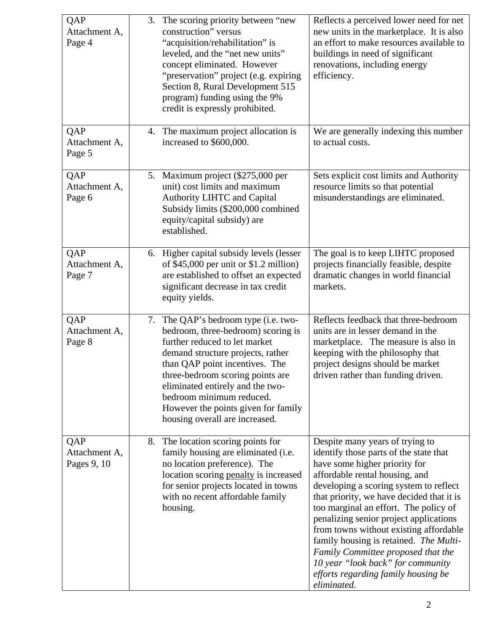| QAP<br>Attachment A,<br>Page 4      | The scoring priority between "new<br>3.<br>construction" versus<br>"acquisition/rehabilitation" is<br>leveled, and the "net new units"<br>concept eliminated. However<br>"preservation" project (e.g. expiring<br>Section 8, Rural Development 515<br>program) funding using the 9%<br>credit is expressly prohibited.                                          | Reflects a perceived lower need for net<br>new units in the marketplace. It is also<br>an effort to make resources available to<br>buildings in need of significant<br>renovations, including energy<br>efficiency.                                                                                                                                                                                                                                                                                                                         |
|-------------------------------------|-----------------------------------------------------------------------------------------------------------------------------------------------------------------------------------------------------------------------------------------------------------------------------------------------------------------------------------------------------------------|---------------------------------------------------------------------------------------------------------------------------------------------------------------------------------------------------------------------------------------------------------------------------------------------------------------------------------------------------------------------------------------------------------------------------------------------------------------------------------------------------------------------------------------------|
| QAP<br>Attachment A,<br>Page 5      | 4. The maximum project allocation is<br>increased to \$600,000.                                                                                                                                                                                                                                                                                                 | We are generally indexing this number<br>to actual costs.                                                                                                                                                                                                                                                                                                                                                                                                                                                                                   |
| QAP<br>Attachment A,<br>Page 6      | 5. Maximum project (\$275,000 per<br>unit) cost limits and maximum<br><b>Authority LIHTC and Capital</b><br>Subsidy limits (\$200,000 combined<br>equity/capital subsidy) are<br>established.                                                                                                                                                                   | Sets explicit cost limits and Authority<br>resource limits so that potential<br>misunderstandings are eliminated.                                                                                                                                                                                                                                                                                                                                                                                                                           |
| QAP<br>Attachment A,<br>Page 7      | 6. Higher capital subsidy levels (lesser<br>of \$45,000 per unit or \$1.2 million)<br>are established to offset an expected<br>significant decrease in tax credit<br>equity yields.                                                                                                                                                                             | The goal is to keep LIHTC proposed<br>projects financially feasible, despite<br>dramatic changes in world financial<br>markets.                                                                                                                                                                                                                                                                                                                                                                                                             |
| QAP<br>Attachment A,<br>Page 8      | 7. The QAP's bedroom type (i.e. two-<br>bedroom, three-bedroom) scoring is<br>further reduced to let market<br>demand structure projects, rather<br>than QAP point incentives. The<br>three-bedroom scoring points are<br>eliminated entirely and the two-<br>bedroom minimum reduced.<br>However the points given for family<br>housing overall are increased. | Reflects feedback that three-bedroom<br>units are in lesser demand in the<br>marketplace. The measure is also in<br>keeping with the philosophy that<br>project designs should be market<br>driven rather than funding driven.                                                                                                                                                                                                                                                                                                              |
| QAP<br>Attachment A,<br>Pages 9, 10 | The location scoring points for<br>8.<br>family housing are eliminated (i.e.<br>no location preference). The<br>location scoring penalty is increased<br>for senior projects located in towns<br>with no recent affordable family<br>housing.                                                                                                                   | Despite many years of trying to<br>identify those parts of the state that<br>have some higher priority for<br>affordable rental housing, and<br>developing a scoring system to reflect<br>that priority, we have decided that it is<br>too marginal an effort. The policy of<br>penalizing senior project applications<br>from towns without existing affordable<br>family housing is retained. The Multi-<br>Family Committee proposed that the<br>10 year "look back" for community<br>efforts regarding family housing be<br>eliminated. |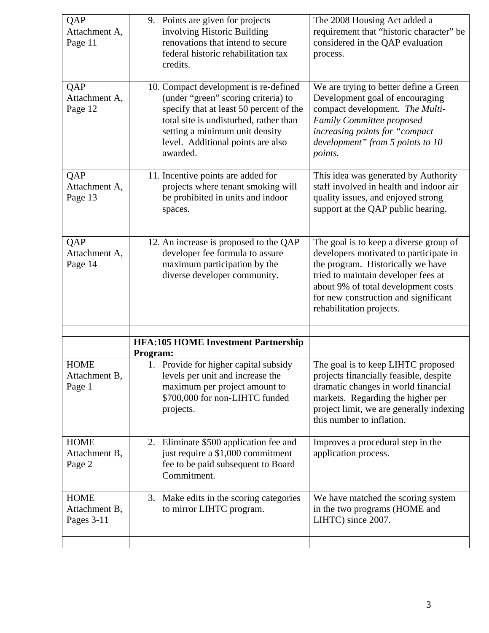| QAP<br>Attachment A,<br>Page 11            | 9. Points are given for projects<br>involving Historic Building<br>renovations that intend to secure<br>federal historic rehabilitation tax                                                                                                                      | The 2008 Housing Act added a<br>requirement that "historic character" be<br>considered in the QAP evaluation<br>process.                                                                                                                                                |
|--------------------------------------------|------------------------------------------------------------------------------------------------------------------------------------------------------------------------------------------------------------------------------------------------------------------|-------------------------------------------------------------------------------------------------------------------------------------------------------------------------------------------------------------------------------------------------------------------------|
| QAP<br>Attachment A,<br>Page 12            | credits.<br>10. Compact development is re-defined<br>(under "green" scoring criteria) to<br>specify that at least 50 percent of the<br>total site is undisturbed, rather than<br>setting a minimum unit density<br>level. Additional points are also<br>awarded. | We are trying to better define a Green<br>Development goal of encouraging<br>compact development. The Multi-<br>Family Committee proposed<br>increasing points for "compact<br>development" from 5 points to 10<br>points.                                              |
| QAP<br>Attachment A,<br>Page 13            | 11. Incentive points are added for<br>projects where tenant smoking will<br>be prohibited in units and indoor<br>spaces.                                                                                                                                         | This idea was generated by Authority<br>staff involved in health and indoor air<br>quality issues, and enjoyed strong<br>support at the QAP public hearing.                                                                                                             |
| QAP<br>Attachment A,<br>Page 14            | $\overline{12}$ . An increase is proposed to the QAP<br>developer fee formula to assure<br>maximum participation by the<br>diverse developer community.                                                                                                          | The goal is to keep a diverse group of<br>developers motivated to participate in<br>the program. Historically we have<br>tried to maintain developer fees at<br>about 9% of total development costs<br>for new construction and significant<br>rehabilitation projects. |
|                                            | <b>HFA:105 HOME Investment Partnership</b><br><b>Program:</b>                                                                                                                                                                                                    |                                                                                                                                                                                                                                                                         |
| <b>HOME</b><br>Attachment B,<br>Page 1     | 1. Provide for higher capital subsidy<br>levels per unit and increase the<br>maximum per project amount to<br>\$700,000 for non-LIHTC funded<br>projects.                                                                                                        | The goal is to keep LIHTC proposed<br>projects financially feasible, despite<br>dramatic changes in world financial<br>markets. Regarding the higher per<br>project limit, we are generally indexing<br>this number to inflation.                                       |
| <b>HOME</b><br>Attachment B,<br>Page 2     | 2. Eliminate \$500 application fee and<br>just require a \$1,000 commitment<br>fee to be paid subsequent to Board<br>Commitment.                                                                                                                                 | Improves a procedural step in the<br>application process.                                                                                                                                                                                                               |
| <b>HOME</b><br>Attachment B,<br>Pages 3-11 | 3. Make edits in the scoring categories<br>to mirror LIHTC program.                                                                                                                                                                                              | We have matched the scoring system<br>in the two programs (HOME and<br>LIHTC) since 2007.                                                                                                                                                                               |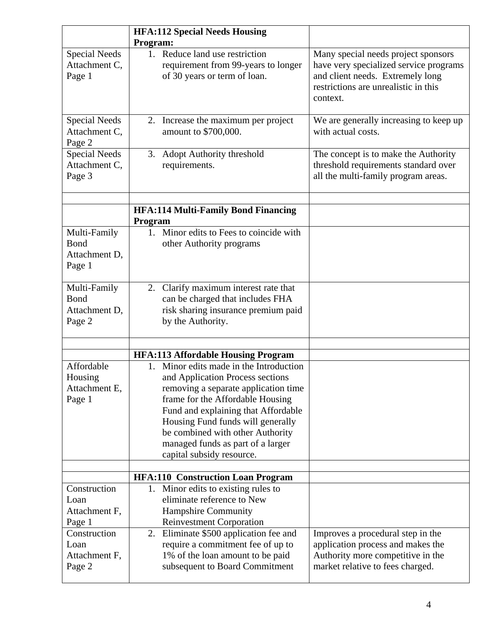|                                                  | <b>HFA:112 Special Needs Housing</b>                                                                                                                                                                                                                                                                                                                                                   |                                                                                                                                                                       |
|--------------------------------------------------|----------------------------------------------------------------------------------------------------------------------------------------------------------------------------------------------------------------------------------------------------------------------------------------------------------------------------------------------------------------------------------------|-----------------------------------------------------------------------------------------------------------------------------------------------------------------------|
|                                                  | Program:                                                                                                                                                                                                                                                                                                                                                                               |                                                                                                                                                                       |
| <b>Special Needs</b><br>Attachment C,<br>Page 1  | 1. Reduce land use restriction<br>requirement from 99-years to longer<br>of 30 years or term of loan.                                                                                                                                                                                                                                                                                  | Many special needs project sponsors<br>have very specialized service programs<br>and client needs. Extremely long<br>restrictions are unrealistic in this<br>context. |
| <b>Special Needs</b><br>Attachment C,<br>Page 2  | 2. Increase the maximum per project<br>amount to \$700,000.                                                                                                                                                                                                                                                                                                                            | We are generally increasing to keep up<br>with actual costs.                                                                                                          |
| <b>Special Needs</b><br>Attachment C,<br>Page 3  | 3.<br><b>Adopt Authority threshold</b><br>requirements.                                                                                                                                                                                                                                                                                                                                | The concept is to make the Authority<br>threshold requirements standard over<br>all the multi-family program areas.                                                   |
|                                                  | <b>HFA:114 Multi-Family Bond Financing</b><br>Program                                                                                                                                                                                                                                                                                                                                  |                                                                                                                                                                       |
| Multi-Family<br>Bond<br>Attachment D,<br>Page 1  | 1. Minor edits to Fees to coincide with<br>other Authority programs                                                                                                                                                                                                                                                                                                                    |                                                                                                                                                                       |
| Multi-Family<br>Bond<br>Attachment D,<br>Page 2  | 2. Clarify maximum interest rate that<br>can be charged that includes FHA<br>risk sharing insurance premium paid<br>by the Authority.                                                                                                                                                                                                                                                  |                                                                                                                                                                       |
|                                                  |                                                                                                                                                                                                                                                                                                                                                                                        |                                                                                                                                                                       |
| Affordable<br>Housing<br>Attachment E,<br>Page 1 | <b>HFA:113 Affordable Housing Program</b><br>1. Minor edits made in the Introduction<br>and Application Process sections<br>removing a separate application time<br>frame for the Affordable Housing<br>Fund and explaining that Affordable<br>Housing Fund funds will generally<br>be combined with other Authority<br>managed funds as part of a larger<br>capital subsidy resource. |                                                                                                                                                                       |
|                                                  | <b>HFA:110 Construction Loan Program</b>                                                                                                                                                                                                                                                                                                                                               |                                                                                                                                                                       |
| Construction<br>Loan<br>Attachment F,<br>Page 1  | 1. Minor edits to existing rules to<br>eliminate reference to New<br>Hampshire Community<br><b>Reinvestment Corporation</b>                                                                                                                                                                                                                                                            |                                                                                                                                                                       |
| Construction<br>Loan<br>Attachment F,<br>Page 2  | Eliminate \$500 application fee and<br>2.<br>require a commitment fee of up to<br>1% of the loan amount to be paid<br>subsequent to Board Commitment                                                                                                                                                                                                                                   | Improves a procedural step in the<br>application process and makes the<br>Authority more competitive in the<br>market relative to fees charged.                       |